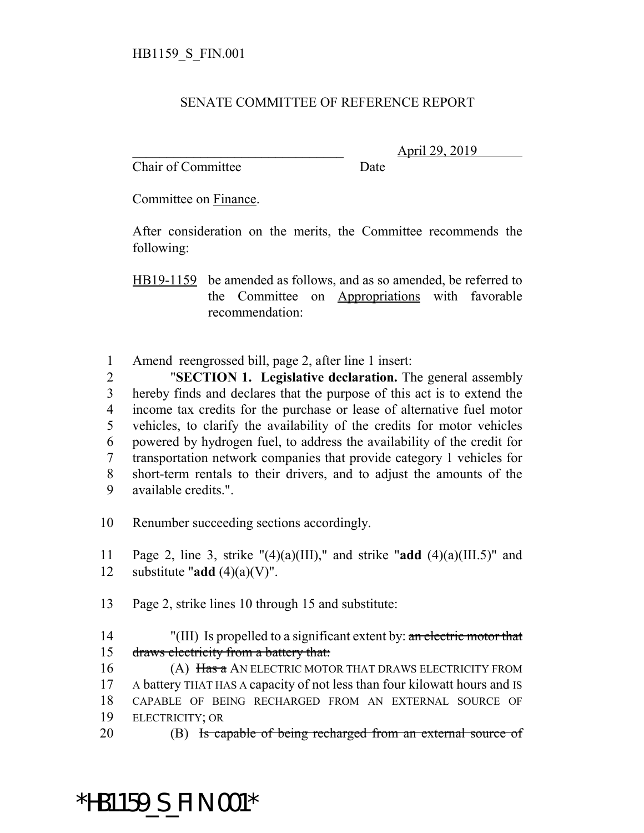#### SENATE COMMITTEE OF REFERENCE REPORT

Chair of Committee Date

\_\_\_\_\_\_\_\_\_\_\_\_\_\_\_\_\_\_\_\_\_\_\_\_\_\_\_\_\_\_\_ April 29, 2019

Committee on Finance.

After consideration on the merits, the Committee recommends the following:

HB19-1159 be amended as follows, and as so amended, be referred to the Committee on Appropriations with favorable recommendation:

1 Amend reengrossed bill, page 2, after line 1 insert:

 "**SECTION 1. Legislative declaration.** The general assembly hereby finds and declares that the purpose of this act is to extend the income tax credits for the purchase or lease of alternative fuel motor vehicles, to clarify the availability of the credits for motor vehicles powered by hydrogen fuel, to address the availability of the credit for transportation network companies that provide category 1 vehicles for short-term rentals to their drivers, and to adjust the amounts of the available credits.".

10 Renumber succeeding sections accordingly.

11 Page 2, line 3, strike "(4)(a)(III)," and strike "**add** (4)(a)(III.5)" and 12 substitute " $add(4)(a)(V)$ ".

13 Page 2, strike lines 10 through 15 and substitute:

14 "(III) Is propelled to a significant extent by: an electric motor that 15 draws electricity from a battery that:

16 (A) Has a AN ELECTRIC MOTOR THAT DRAWS ELECTRICITY FROM A battery THAT HAS A capacity of not less than four kilowatt hours and IS CAPABLE OF BEING RECHARGED FROM AN EXTERNAL SOURCE OF ELECTRICITY; OR

20 (B) Is capable of being recharged from an external source of

# \*HB1159\_S\_FIN.001\*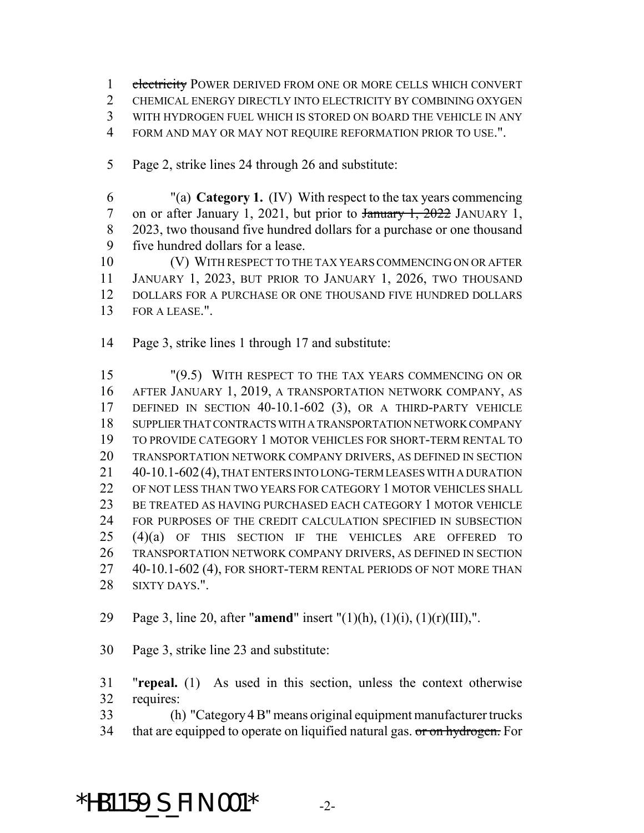1 electricity POWER DERIVED FROM ONE OR MORE CELLS WHICH CONVERT 2 CHEMICAL ENERGY DIRECTLY INTO ELECTRICITY BY COMBINING OXYGEN WITH HYDROGEN FUEL WHICH IS STORED ON BOARD THE VEHICLE IN ANY FORM AND MAY OR MAY NOT REQUIRE REFORMATION PRIOR TO USE.".

Page 2, strike lines 24 through 26 and substitute:

 "(a) **Category 1.** (IV) With respect to the tax years commencing 7 on or after January 1, 2021, but prior to  $\frac{1}{20222}$  JANUARY 1, 2023, two thousand five hundred dollars for a purchase or one thousand five hundred dollars for a lease.

 (V) WITH RESPECT TO THE TAX YEARS COMMENCING ON OR AFTER JANUARY 1, 2023, BUT PRIOR TO JANUARY 1, 2026, TWO THOUSAND DOLLARS FOR A PURCHASE OR ONE THOUSAND FIVE HUNDRED DOLLARS FOR A LEASE.".

Page 3, strike lines 1 through 17 and substitute:

 "(9.5) WITH RESPECT TO THE TAX YEARS COMMENCING ON OR AFTER JANUARY 1, 2019, A TRANSPORTATION NETWORK COMPANY, AS DEFINED IN SECTION 40-10.1-602 (3), OR A THIRD-PARTY VEHICLE SUPPLIER THAT CONTRACTS WITH A TRANSPORTATION NETWORK COMPANY TO PROVIDE CATEGORY 1 MOTOR VEHICLES FOR SHORT-TERM RENTAL TO TRANSPORTATION NETWORK COMPANY DRIVERS, AS DEFINED IN SECTION 40-10.1-602(4), THAT ENTERS INTO LONG-TERM LEASES WITH A DURATION OF NOT LESS THAN TWO YEARS FOR CATEGORY 1 MOTOR VEHICLES SHALL 23 BE TREATED AS HAVING PURCHASED EACH CATEGORY 1 MOTOR VEHICLE FOR PURPOSES OF THE CREDIT CALCULATION SPECIFIED IN SUBSECTION (4)(a) OF THIS SECTION IF THE VEHICLES ARE OFFERED TO TRANSPORTATION NETWORK COMPANY DRIVERS, AS DEFINED IN SECTION 40-10.1-602 (4), FOR SHORT-TERM RENTAL PERIODS OF NOT MORE THAN SIXTY DAYS.".

Page 3, line 20, after "**amend**" insert "(1)(h), (1)(i), (1)(r)(III),".

Page 3, strike line 23 and substitute:

 "**repeal.** (1) As used in this section, unless the context otherwise requires:

(h) "Category 4 B" means original equipment manufacturer trucks

34 that are equipped to operate on liquified natural gas. or on hydrogen. For

#### **\*HB1159\_S\_FIN.001\*** -2-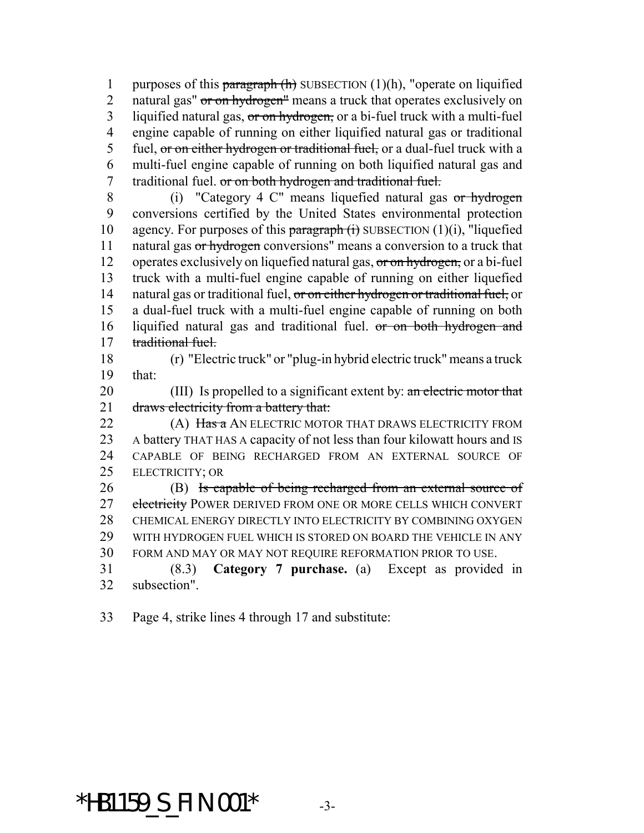1 purposes of this paragraph  $(h)$  SUBSECTION  $(1)(h)$ , "operate on liquified 2 natural gas" or on hydrogen" means a truck that operates exclusively on 3 liquified natural gas, or on hydrogen, or a bi-fuel truck with a multi-fuel engine capable of running on either liquified natural gas or traditional 5 fuel, or on either hydrogen or traditional fuel, or a dual-fuel truck with a multi-fuel engine capable of running on both liquified natural gas and 7 traditional fuel. or on both hydrogen and traditional fuel.

 (i) "Category 4 C" means liquefied natural gas or hydrogen conversions certified by the United States environmental protection 10 agency. For purposes of this  $\frac{\text{parameter of}}{\text{target}}$  SUBSECTION (1)(i), "liquefied 11 natural gas or hydrogen conversions" means a conversion to a truck that 12 operates exclusively on liquefied natural gas, or on hydrogen, or a bi-fuel truck with a multi-fuel engine capable of running on either liquefied 14 natural gas or traditional fuel, or on either hydrogen or traditional fuel, or a dual-fuel truck with a multi-fuel engine capable of running on both liquified natural gas and traditional fuel. or on both hydrogen and traditional fuel.

 (r) "Electric truck" or "plug-in hybrid electric truck" means a truck that:

20 (III) Is propelled to a significant extent by: an electric motor that 21 draws electricity from a battery that:

**(A) Has a AN ELECTRIC MOTOR THAT DRAWS ELECTRICITY FROM**  A battery THAT HAS A capacity of not less than four kilowatt hours and IS CAPABLE OF BEING RECHARGED FROM AN EXTERNAL SOURCE OF ELECTRICITY; OR

 (B) Is capable of being recharged from an external source of 27 electricity POWER DERIVED FROM ONE OR MORE CELLS WHICH CONVERT CHEMICAL ENERGY DIRECTLY INTO ELECTRICITY BY COMBINING OXYGEN WITH HYDROGEN FUEL WHICH IS STORED ON BOARD THE VEHICLE IN ANY FORM AND MAY OR MAY NOT REQUIRE REFORMATION PRIOR TO USE.

 (8.3) **Category 7 purchase.** (a) Except as provided in subsection".

Page 4, strike lines 4 through 17 and substitute:

### \*HB1159\_S\_FIN.001\* -3-